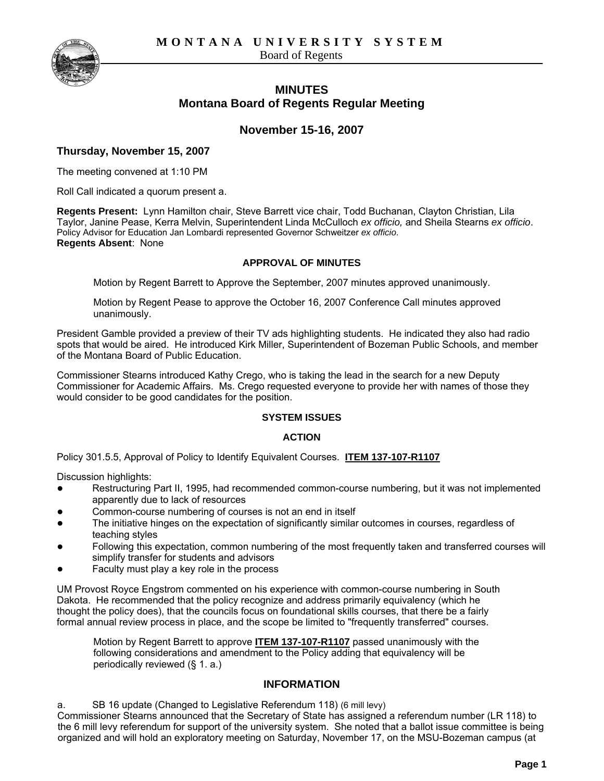**MONTANA UNIVERSITY SYSTEM** 

Board of Regents



# **MINUTES Montana Board of Regents Regular Meeting**

# **November 15-16, 2007**

# **Thursday, November 15, 2007**

The meeting convened at 1:10 PM

Roll Call indicated a quorum present a.

**Regents Present:** Lynn Hamilton chair, Steve Barrett vice chair, Todd Buchanan, Clayton Christian, Lila Taylor, Janine Pease, Kerra Melvin, Superintendent Linda McCulloch *ex officio,* and Sheila Stearns *ex officio*. Policy Advisor for Education Jan Lombardi represented Governor Schweitzer *ex officio*. **Regents Absent**: None

### **APPROVAL OF MINUTES**

Motion by Regent Barrett to Approve the September, 2007 minutes approved unanimously.

Motion by Regent Pease to approve the October 16, 2007 Conference Call minutes approved unanimously.

President Gamble provided a preview of their TV ads highlighting students. He indicated they also had radio spots that would be aired. He introduced Kirk Miller, Superintendent of Bozeman Public Schools, and member of the Montana Board of Public Education.

Commissioner Stearns introduced Kathy Crego, who is taking the lead in the search for a new Deputy Commissioner for Academic Affairs. Ms. Crego requested everyone to provide her with names of those they would consider to be good candidates for the position.

# **SYSTEM ISSUES**

# **ACTION**

Policy 301.5.5, Approval of Policy to Identify Equivalent Courses. **ITEM 137-107-R1107**

Discussion highlights:

- Restructuring Part II, 1995, had recommended common-course numbering, but it was not implemented apparently due to lack of resources
- Common-course numbering of courses is not an end in itself
- The initiative hinges on the expectation of significantly similar outcomes in courses, regardless of teaching styles
- Following this expectation, common numbering of the most frequently taken and transferred courses will simplify transfer for students and advisors
- Faculty must play a key role in the process

UM Provost Royce Engstrom commented on his experience with common-course numbering in South Dakota. He recommended that the policy recognize and address primarily equivalency (which he thought the policy does), that the councils focus on foundational skills courses, that there be a fairly formal annual review process in place, and the scope be limited to "frequently transferred" courses.

Motion by Regent Barrett to approve **ITEM 137-107-R1107** passed unanimously with the following considerations and amendment to the Policy adding that equivalency will be periodically reviewed (§ 1. a.)

# **INFORMATION**

a. SB 16 update (Changed to Legislative Referendum 118) (6 mill levy) Commissioner Stearns announced that the Secretary of State has assigned a referendum number (LR 118) to the 6 mill levy referendum for support of the university system. She noted that a ballot issue committee is being organized and will hold an exploratory meeting on Saturday, November 17, on the MSU-Bozeman campus (at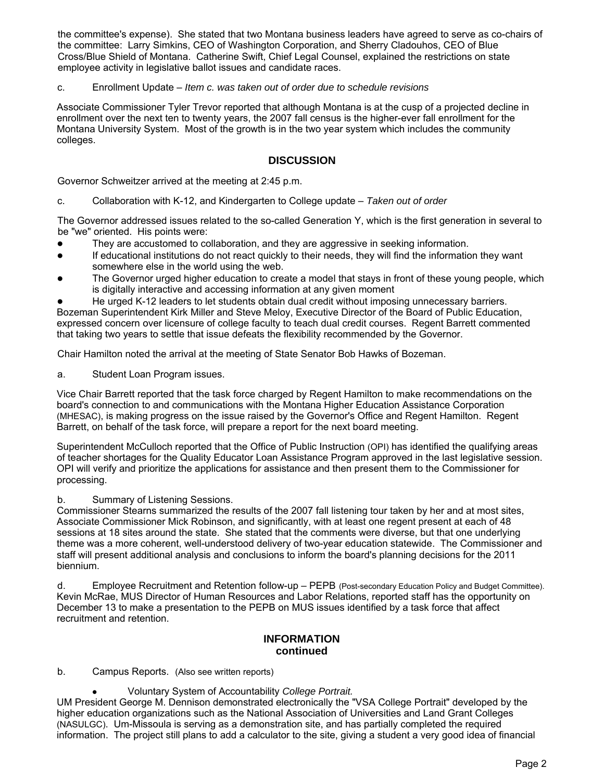the committee's expense). She stated that two Montana business leaders have agreed to serve as co-chairs of the committee: Larry Simkins, CEO of Washington Corporation, and Sherry Cladouhos, CEO of Blue Cross/Blue Shield of Montana. Catherine Swift, Chief Legal Counsel, explained the restrictions on state employee activity in legislative ballot issues and candidate races.

### c. Enrollment Update – *Item c. was taken out of order due to schedule revisions*

Associate Commissioner Tyler Trevor reported that although Montana is at the cusp of a projected decline in enrollment over the next ten to twenty years, the 2007 fall census is the higher-ever fall enrollment for the Montana University System. Most of the growth is in the two year system which includes the community colleges.

# **DISCUSSION**

Governor Schweitzer arrived at the meeting at 2:45 p.m.

c. Collaboration with K-12, and Kindergarten to College update – *Taken out of order*

The Governor addressed issues related to the so-called Generation Y, which is the first generation in several to be "we" oriented. His points were:

- They are accustomed to collaboration, and they are aggressive in seeking information.
- If educational institutions do not react quickly to their needs, they will find the information they want somewhere else in the world using the web.
- The Governor urged higher education to create a model that stays in front of these young people, which is digitally interactive and accessing information at any given moment
- He urged K-12 leaders to let students obtain dual credit without imposing unnecessary barriers. Bozeman Superintendent Kirk Miller and Steve Meloy, Executive Director of the Board of Public Education, expressed concern over licensure of college faculty to teach dual credit courses. Regent Barrett commented that taking two years to settle that issue defeats the flexibility recommended by the Governor.

Chair Hamilton noted the arrival at the meeting of State Senator Bob Hawks of Bozeman.

a. Student Loan Program issues.

Vice Chair Barrett reported that the task force charged by Regent Hamilton to make recommendations on the board's connection to and communications with the Montana Higher Education Assistance Corporation (MHESAC), is making progress on the issue raised by the Governor's Office and Regent Hamilton. Regent Barrett, on behalf of the task force, will prepare a report for the next board meeting.

Superintendent McCulloch reported that the Office of Public Instruction (OPI) has identified the qualifying areas of teacher shortages for the Quality Educator Loan Assistance Program approved in the last legislative session. OPI will verify and prioritize the applications for assistance and then present them to the Commissioner for processing.

# b. Summary of Listening Sessions.

Commissioner Stearns summarized the results of the 2007 fall listening tour taken by her and at most sites, Associate Commissioner Mick Robinson, and significantly, with at least one regent present at each of 48 sessions at 18 sites around the state. She stated that the comments were diverse, but that one underlying theme was a more coherent, well-understood delivery of two-year education statewide. The Commissioner and staff will present additional analysis and conclusions to inform the board's planning decisions for the 2011 biennium.

d. Employee Recruitment and Retention follow-up – PEPB (Post-secondary Education Policy and Budget Committee). Kevin McRae, MUS Director of Human Resources and Labor Relations, reported staff has the opportunity on December 13 to make a presentation to the PEPB on MUS issues identified by a task force that affect recruitment and retention.

# **INFORMATION continued**

# b. Campus Reports. (Also see written reports)

● Voluntary System of Accountability *College Portrait.*

UM President George M. Dennison demonstrated electronically the "VSA College Portrait" developed by the higher education organizations such as the National Association of Universities and Land Grant Colleges (NASULGC). Um-Missoula is serving as a demonstration site, and has partially completed the required information. The project still plans to add a calculator to the site, giving a student a very good idea of financial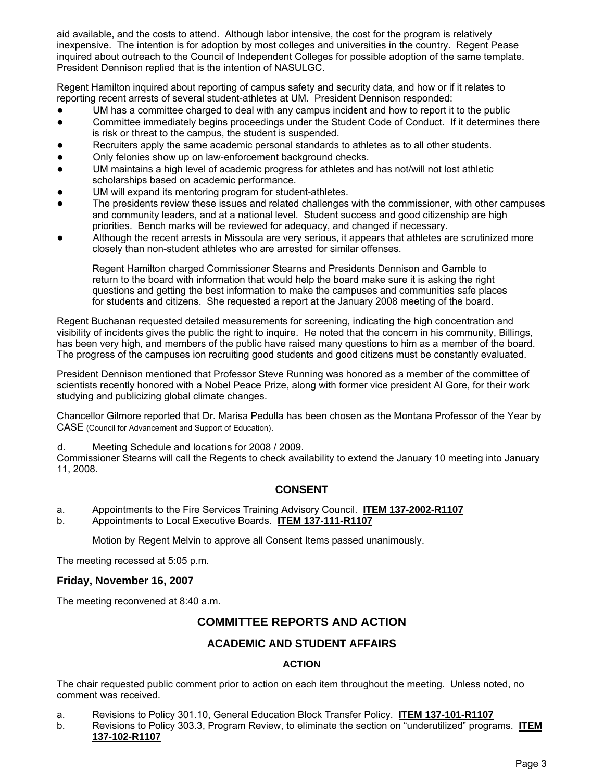aid available, and the costs to attend. Although labor intensive, the cost for the program is relatively inexpensive. The intention is for adoption by most colleges and universities in the country. Regent Pease inquired about outreach to the Council of Independent Colleges for possible adoption of the same template. President Dennison replied that is the intention of NASULGC.

Regent Hamilton inquired about reporting of campus safety and security data, and how or if it relates to reporting recent arrests of several student-athletes at UM. President Dennison responded:

- UM has a committee charged to deal with any campus incident and how to report it to the public
- Committee immediately begins proceedings under the Student Code of Conduct. If it determines there is risk or threat to the campus, the student is suspended.
- Recruiters apply the same academic personal standards to athletes as to all other students.
- Only felonies show up on law-enforcement background checks.
- UM maintains a high level of academic progress for athletes and has not/will not lost athletic scholarships based on academic performance.
- UM will expand its mentoring program for student-athletes.
- The presidents review these issues and related challenges with the commissioner, with other campuses and community leaders, and at a national level. Student success and good citizenship are high priorities. Bench marks will be reviewed for adequacy, and changed if necessary.
- Although the recent arrests in Missoula are very serious, it appears that athletes are scrutinized more closely than non-student athletes who are arrested for similar offenses.

Regent Hamilton charged Commissioner Stearns and Presidents Dennison and Gamble to return to the board with information that would help the board make sure it is asking the right questions and getting the best information to make the campuses and communities safe places for students and citizens. She requested a report at the January 2008 meeting of the board.

Regent Buchanan requested detailed measurements for screening, indicating the high concentration and visibility of incidents gives the public the right to inquire. He noted that the concern in his community, Billings, has been very high, and members of the public have raised many questions to him as a member of the board. The progress of the campuses ion recruiting good students and good citizens must be constantly evaluated.

President Dennison mentioned that Professor Steve Running was honored as a member of the committee of scientists recently honored with a Nobel Peace Prize, along with former vice president Al Gore, for their work studying and publicizing global climate changes.

Chancellor Gilmore reported that Dr. Marisa Pedulla has been chosen as the Montana Professor of the Year by CASE (Council for Advancement and Support of Education).

d. Meeting Schedule and locations for 2008 / 2009.

Commissioner Stearns will call the Regents to check availability to extend the January 10 meeting into January 11, 2008.

# **CONSENT**

- a. Appointments to the Fire Services Training Advisory Council. **ITEM 137-2002-R1107**
- b. Appointments to Local Executive Boards. **ITEM 137-111-R1107**

Motion by Regent Melvin to approve all Consent Items passed unanimously.

The meeting recessed at 5:05 p.m.

# **Friday, November 16, 2007**

The meeting reconvened at 8:40 a.m.

# **COMMITTEE REPORTS AND ACTION**

# **ACADEMIC AND STUDENT AFFAIRS**

# **ACTION**

The chair requested public comment prior to action on each item throughout the meeting. Unless noted, no comment was received.

- a. Revisions to Policy 301.10, General Education Block Transfer Policy. **ITEM 137-101-R1107**
- b. Revisions to Policy 303.3, Program Review, to eliminate the section on "underutilized" programs. **ITEM 137-102-R1107**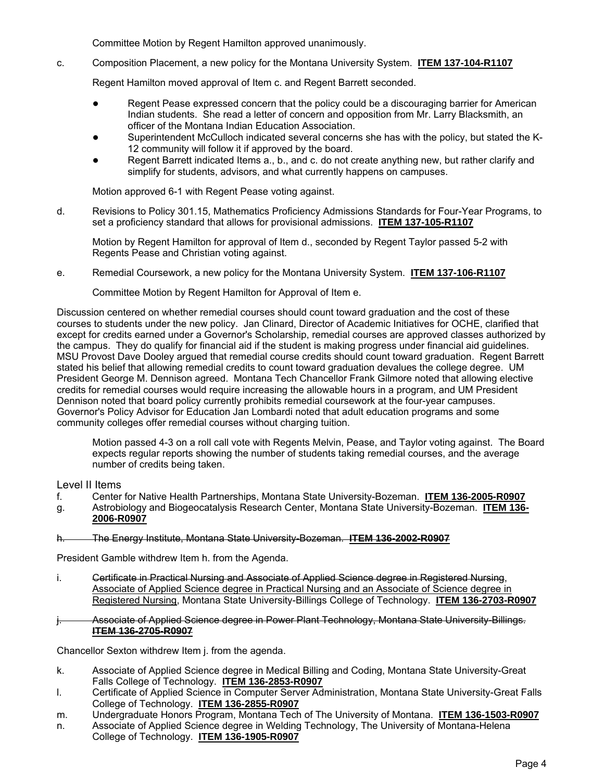Committee Motion by Regent Hamilton approved unanimously.

c. Composition Placement, a new policy for the Montana University System. **ITEM 137-104-R1107**

Regent Hamilton moved approval of Item c. and Regent Barrett seconded.

- Regent Pease expressed concern that the policy could be a discouraging barrier for American Indian students. She read a letter of concern and opposition from Mr. Larry Blacksmith, an officer of the Montana Indian Education Association.
- Superintendent McCulloch indicated several concerns she has with the policy, but stated the K-12 community will follow it if approved by the board.
- Regent Barrett indicated Items a., b., and c. do not create anything new, but rather clarify and simplify for students, advisors, and what currently happens on campuses.

Motion approved 6-1 with Regent Pease voting against.

d. Revisions to Policy 301.15, Mathematics Proficiency Admissions Standards for Four-Year Programs, to set a proficiency standard that allows for provisional admissions. **ITEM 137-105-R1107**

Motion by Regent Hamilton for approval of Item d., seconded by Regent Taylor passed 5-2 with Regents Pease and Christian voting against.

e. Remedial Coursework, a new policy for the Montana University System. **ITEM 137-106-R1107**

Committee Motion by Regent Hamilton for Approval of Item e.

Discussion centered on whether remedial courses should count toward graduation and the cost of these courses to students under the new policy. Jan Clinard, Director of Academic Initiatives for OCHE, clarified that except for credits earned under a Governor's Scholarship, remedial courses are approved classes authorized by the campus. They do qualify for financial aid if the student is making progress under financial aid guidelines. MSU Provost Dave Dooley argued that remedial course credits should count toward graduation. Regent Barrett stated his belief that allowing remedial credits to count toward graduation devalues the college degree. UM President George M. Dennison agreed. Montana Tech Chancellor Frank Gilmore noted that allowing elective credits for remedial courses would require increasing the allowable hours in a program, and UM President Dennison noted that board policy currently prohibits remedial coursework at the four-year campuses. Governor's Policy Advisor for Education Jan Lombardi noted that adult education programs and some community colleges offer remedial courses without charging tuition.

Motion passed 4-3 on a roll call vote with Regents Melvin, Pease, and Taylor voting against. The Board expects regular reports showing the number of students taking remedial courses, and the average number of credits being taken.

Level II Items

- f. Center for Native Health Partnerships, Montana State University-Bozeman. **ITEM 136-2005-R0907**
- g. Astrobiology and Biogeocatalysis Research Center, Montana State University-Bozeman. **ITEM 136- 2006-R0907**

#### h. The Energy Institute, Montana State University-Bozeman. **ITEM 136-2002-R0907**

President Gamble withdrew Item h. from the Agenda.

- i. Certificate in Practical Nursing and Associate of Applied Science degree in Registered Nursing, Associate of Applied Science degree in Practical Nursing and an Associate of Science degree in Registered Nursing, Montana State University-Billings College of Technology. **ITEM 136-2703-R0907**
- j. Associate of Applied Science degree in Power Plant Technology, Montana State University-Billings. **ITEM 136-2705-R0907**

Chancellor Sexton withdrew Item j. from the agenda.

- k. Associate of Applied Science degree in Medical Billing and Coding, Montana State University-Great Falls College of Technology. **ITEM 136-2853-R0907**
- l. Certificate of Applied Science in Computer Server Administration, Montana State University-Great Falls College of Technology. **ITEM 136-2855-R0907**
- m. Undergraduate Honors Program, Montana Tech of The University of Montana. **ITEM 136-1503-R0907**
- n. Associate of Applied Science degree in Welding Technology, The University of Montana-Helena College of Technology. **ITEM 136-1905-R0907**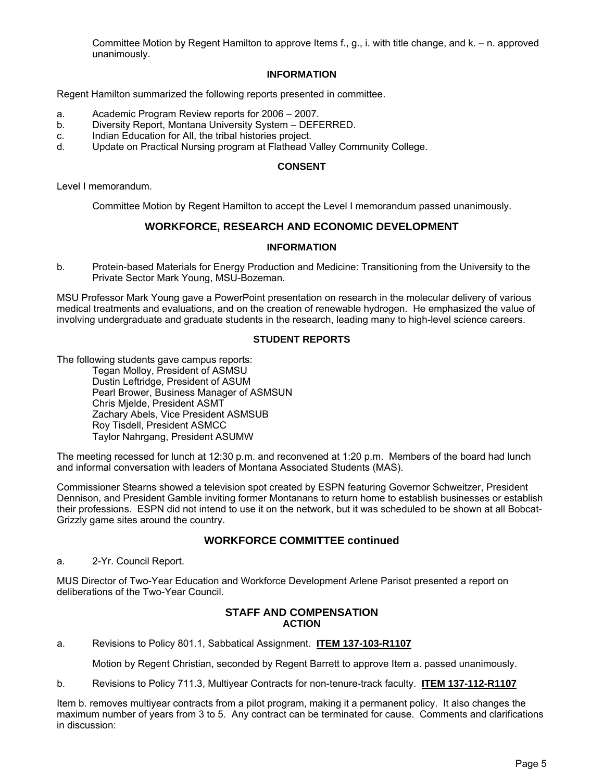Committee Motion by Regent Hamilton to approve Items f., g., i. with title change, and k. – n. approved unanimously.

#### **INFORMATION**

Regent Hamilton summarized the following reports presented in committee.

- a. Academic Program Review reports for 2006 2007.
- b. Diversity Report, Montana University System DEFERRED.
- c. Indian Education for All, the tribal histories project.
- d. Update on Practical Nursing program at Flathead Valley Community College.

#### **CONSENT**

Level I memorandum.

Committee Motion by Regent Hamilton to accept the Level I memorandum passed unanimously.

# **WORKFORCE, RESEARCH AND ECONOMIC DEVELOPMENT**

# **INFORMATION**

b. Protein-based Materials for Energy Production and Medicine: Transitioning from the University to the Private Sector Mark Young, MSU-Bozeman.

MSU Professor Mark Young gave a PowerPoint presentation on research in the molecular delivery of various medical treatments and evaluations, and on the creation of renewable hydrogen. He emphasized the value of involving undergraduate and graduate students in the research, leading many to high-level science careers.

# **STUDENT REPORTS**

The following students gave campus reports:

Tegan Molloy, President of ASMSU Dustin Leftridge, President of ASUM Pearl Brower, Business Manager of ASMSUN Chris Mjelde, President ASMT Zachary Abels, Vice President ASMSUB Roy Tisdell, President ASMCC Taylor Nahrgang, President ASUMW

The meeting recessed for lunch at 12:30 p.m. and reconvened at 1:20 p.m. Members of the board had lunch and informal conversation with leaders of Montana Associated Students (MAS).

Commissioner Stearns showed a television spot created by ESPN featuring Governor Schweitzer, President Dennison, and President Gamble inviting former Montanans to return home to establish businesses or establish their professions. ESPN did not intend to use it on the network, but it was scheduled to be shown at all Bobcat-Grizzly game sites around the country.

# **WORKFORCE COMMITTEE continued**

a. 2-Yr. Council Report.

MUS Director of Two-Year Education and Workforce Development Arlene Parisot presented a report on deliberations of the Two-Year Council.

#### **STAFF AND COMPENSATION ACTION**

a. Revisions to Policy 801.1, Sabbatical Assignment. **ITEM 137-103-R1107**

Motion by Regent Christian, seconded by Regent Barrett to approve Item a. passed unanimously.

b. Revisions to Policy 711.3, Multiyear Contracts for non-tenure-track faculty. **ITEM 137-112-R1107**

Item b. removes multiyear contracts from a pilot program, making it a permanent policy. It also changes the maximum number of years from 3 to 5. Any contract can be terminated for cause. Comments and clarifications in discussion: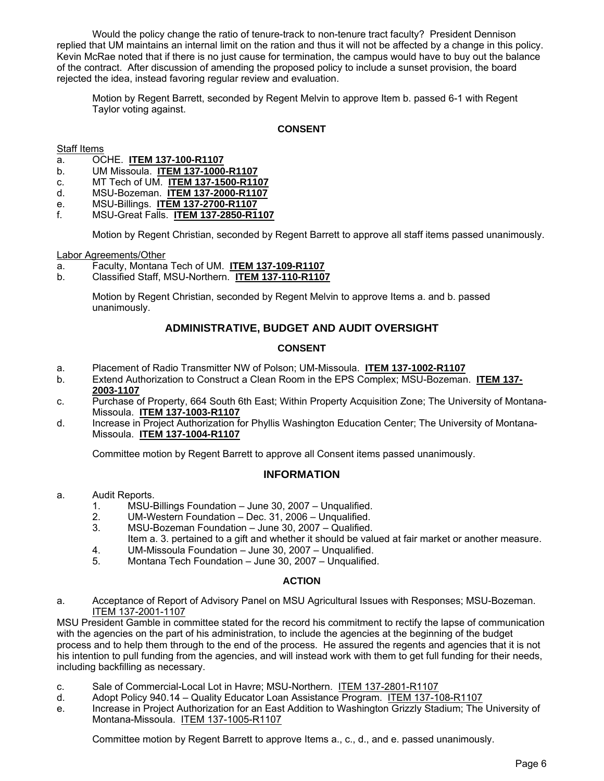Would the policy change the ratio of tenure-track to non-tenure tract faculty? President Dennison replied that UM maintains an internal limit on the ration and thus it will not be affected by a change in this policy. Kevin McRae noted that if there is no just cause for termination, the campus would have to buy out the balance of the contract. After discussion of amending the proposed policy to include a sunset provision, the board rejected the idea, instead favoring regular review and evaluation.

Motion by Regent Barrett, seconded by Regent Melvin to approve Item b. passed 6-1 with Regent Taylor voting against.

# **CONSENT**

Staff Items

- a. OCHE. **ITEM 137-100-R1107**
- b. UM Missoula. **ITEM 137-1000-R1107**
- c. MT Tech of UM. **ITEM 137-1500-R1107**
- d. MSU-Bozeman. **ITEM 137-2000-R1107**
- e. MSU-Billings. **ITEM 137-2700-R1107**
- f. MSU-Great Falls. **ITEM 137-2850-R1107**

Motion by Regent Christian, seconded by Regent Barrett to approve all staff items passed unanimously.

Labor Agreements/Other

- a. Faculty, Montana Tech of UM. **ITEM 137-109-R1107**
- b. Classified Staff, MSU-Northern. **ITEM 137-110-R1107**

Motion by Regent Christian, seconded by Regent Melvin to approve Items a. and b. passed unanimously.

# **ADMINISTRATIVE, BUDGET AND AUDIT OVERSIGHT**

# **CONSENT**

- a. Placement of Radio Transmitter NW of Polson; UM-Missoula. **ITEM 137-1002-R1107**
- b. Extend Authorization to Construct a Clean Room in the EPS Complex; MSU-Bozeman. **ITEM 137- 2003-1107**
- c. Purchase of Property, 664 South 6th East; Within Property Acquisition Zone; The University of Montana-Missoula. **ITEM 137-1003-R1107**
- d. Increase in Project Authorization for Phyllis Washington Education Center; The University of Montana-Missoula. **ITEM 137-1004-R1107**

Committee motion by Regent Barrett to approve all Consent items passed unanimously.

# **INFORMATION**

- a. Audit Reports.
	- 1. MSU-Billings Foundation June 30, 2007 Unqualified.
	- 2. UM-Western Foundation Dec. 31, 2006 Unqualified.
	- 3. MSU-Bozeman Foundation June 30, 2007 Qualified.
	- Item a. 3. pertained to a gift and whether it should be valued at fair market or another measure.<br>4. UM-Missoula Foundation June 30. 2007 Unqualified. 4. UM-Missoula Foundation – June 30, 2007 – Unqualified.
	- 5. Montana Tech Foundation June 30, 2007 Unqualified.

#### **ACTION**

a. Acceptance of Report of Advisory Panel on MSU Agricultural Issues with Responses; MSU-Bozeman. ITEM 137-2001-1107

MSU President Gamble in committee stated for the record his commitment to rectify the lapse of communication with the agencies on the part of his administration, to include the agencies at the beginning of the budget process and to help them through to the end of the process. He assured the regents and agencies that it is not his intention to pull funding from the agencies, and will instead work with them to get full funding for their needs, including backfilling as necessary.

- c. Sale of Commercial-Local Lot in Havre; MSU-Northern. ITEM 137-2801-R1107
- d. Adopt Policy 940.14 Quality Educator Loan Assistance Program. ITEM 137-108-R1107
- e. Increase in Project Authorization for an East Addition to Washington Grizzly Stadium; The University of Montana-Missoula. ITEM 137-1005-R1107

Committee motion by Regent Barrett to approve Items a., c., d., and e. passed unanimously.